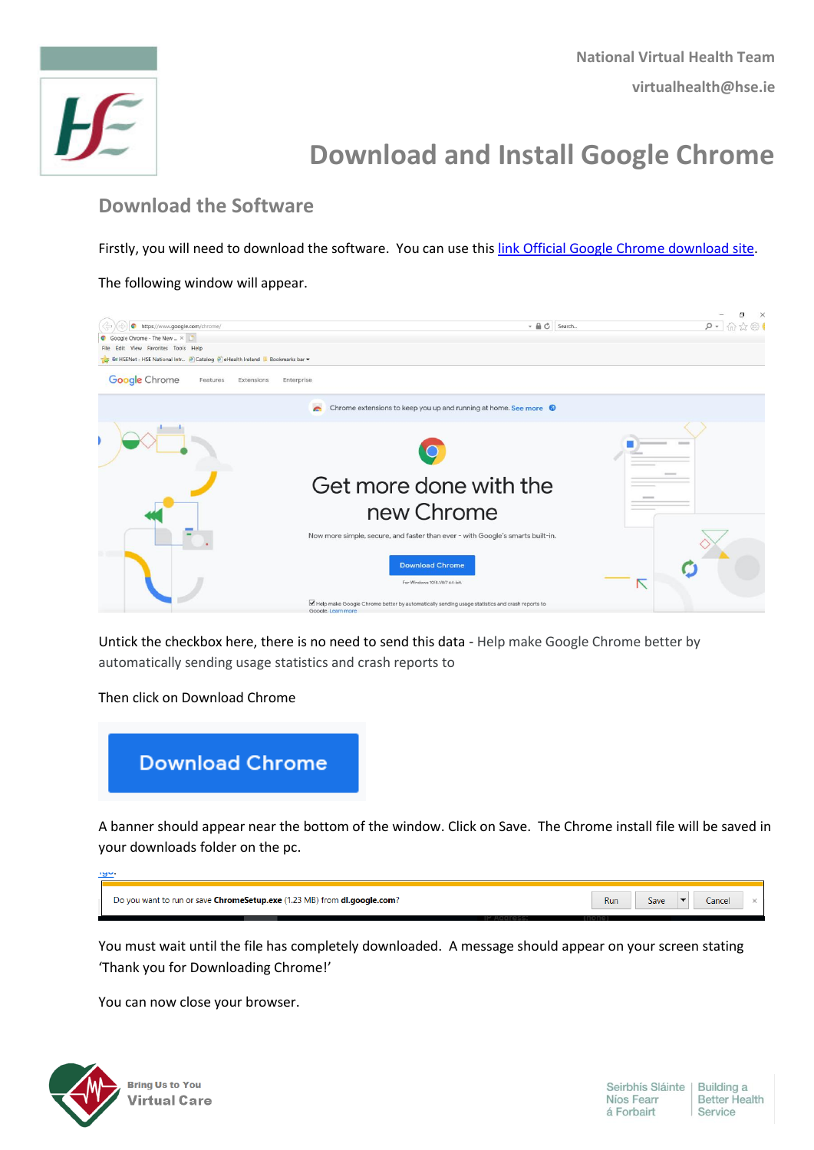

## **Download and Install Google Chrome**

## **Download the Software**

Firstly, you will need to download the software. You can use this link [Official Google Chrome download site.](https://www.google.com/chrome)

The following window will appear.



Untick the checkbox here, there is no need to send this data - Help make Google Chrome better by automatically sending usage statistics and crash reports to

Then click on Download Chrome



A banner should appear near the bottom of the window. Click on Save. The Chrome install file will be saved in your downloads folder on the pc.

| שפי.                                                                     |     |      |        |  |
|--------------------------------------------------------------------------|-----|------|--------|--|
|                                                                          |     |      |        |  |
| Do you want to run or save ChromeSetup.exe (1.23 MB) from dl.google.com? | Run | Save | Cancel |  |

You must wait until the file has completely downloaded. A message should appear on your screen stating 'Thank you for Downloading Chrome!'

You can now close your browser.

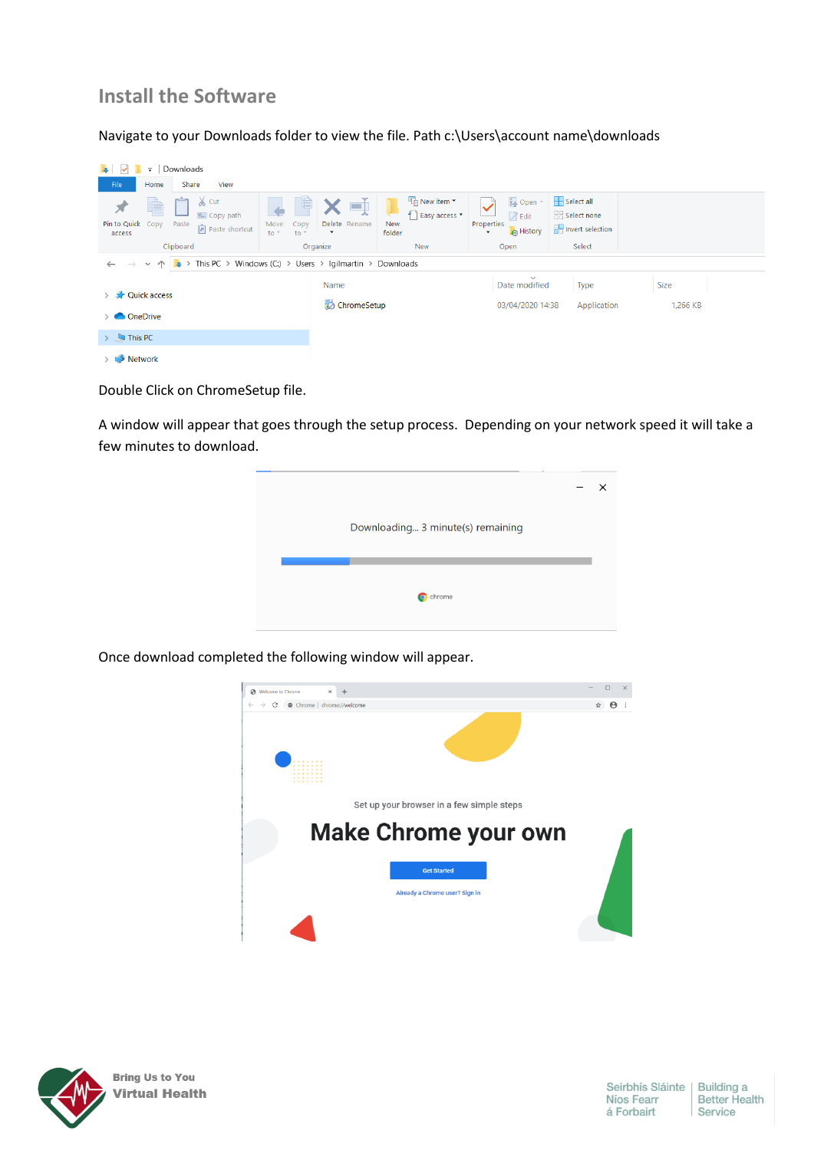## **Install the Software**

Navigate to your Downloads folder to view the file. Path c:\Users\account name\downloads

| $\overline{r}$                                                                                                                                      | Downloads     |                      |               |                             |                 |                                              |                                              |                                                                   |        |             |  |  |
|-----------------------------------------------------------------------------------------------------------------------------------------------------|---------------|----------------------|---------------|-----------------------------|-----------------|----------------------------------------------|----------------------------------------------|-------------------------------------------------------------------|--------|-------------|--|--|
| File<br>Home                                                                                                                                        | Share<br>View |                      |               |                             |                 |                                              |                                              |                                                                   |        |             |  |  |
| $\lambda$ Cut<br>È<br>LU,<br>W. Copy path<br>Pin to Quick Copy Paste<br>Move<br>Copy<br>Paste shortcut<br>$to -$<br>$to -$<br>access                |               | X 电<br>Delete Rename | New<br>folder | New item *<br>Easy access * | Properties<br>۰ | Dopen ~<br><b>Z</b> Edit<br><b>A</b> History |                                              | Select all<br><b>B</b> Select none<br><b>Red</b> Invert selection |        |             |  |  |
|                                                                                                                                                     | Clipboard     |                      | Organize      |                             | New             |                                              | Open                                         |                                                                   | Select |             |  |  |
| $\rightarrow \rightarrow \rightarrow \uparrow$ $\left \downarrow \right $ > This PC > Windows (C:) > Users > Igilmartin > Downloads<br>$\leftarrow$ |               |                      |               |                             |                 |                                              |                                              |                                                                   |        |             |  |  |
|                                                                                                                                                     |               |                      | Name          |                             |                 |                                              | $\checkmark$<br>Date modified<br><b>Type</b> |                                                                   |        | <b>Size</b> |  |  |
| > <b>A</b> Quick access                                                                                                                             |               |                      | ChromeSetup   |                             |                 | 03/04/2020 14:38                             |                                              | Application                                                       |        | 1,266 KB    |  |  |
| <b>ConeDrive</b>                                                                                                                                    |               |                      |               |                             |                 |                                              |                                              |                                                                   |        |             |  |  |
| $\triangleright$ $\blacksquare$ This PC                                                                                                             |               |                      |               |                             |                 |                                              |                                              |                                                                   |        |             |  |  |
| Network                                                                                                                                             |               |                      |               |                             |                 |                                              |                                              |                                                                   |        |             |  |  |

Double Click on ChromeSetup file.

A window will appear that goes through the setup process. Depending on your network speed it will take a few minutes to download.

| Downloading 3 minute(s) remaining |  |
|-----------------------------------|--|
|                                   |  |
| chrome                            |  |

Once download completed the following window will appear.